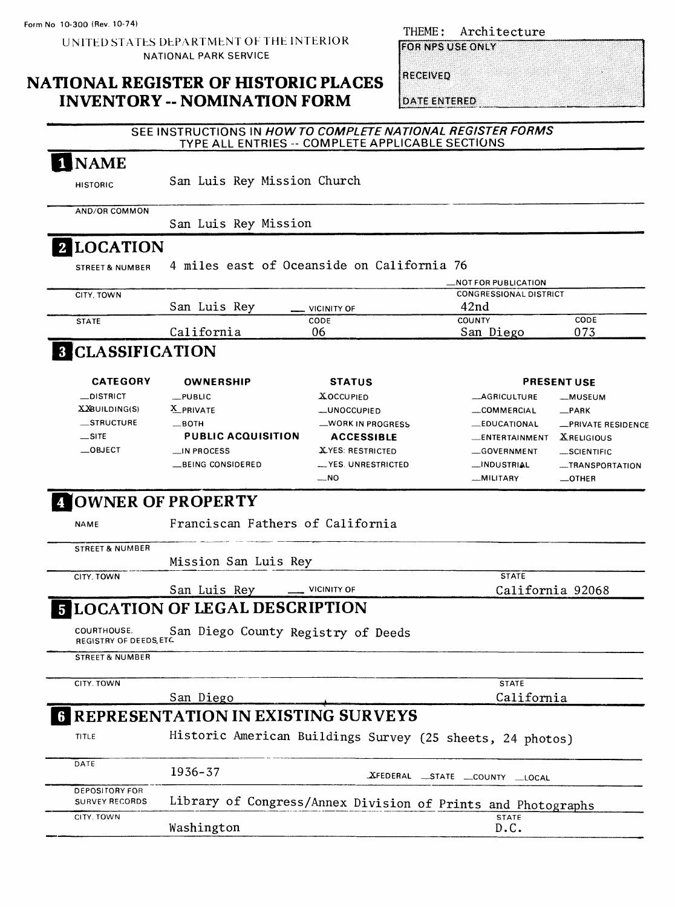**Form No 10-300 (Rev. 10-74)**

UNITED STATES DEPARTMENT OF THE INTERIOR NATIONAL PARK SERVICE

### **NATIONAL REGISTER OF HISTORIC PLACES INVENTORY -- NOMINATION FORM**

THEME: Architecture

**FOR NPS USE ONLY** 

RECEIVED

DATE ENTERED

|                                                |                                                                            | TYPE ALL ENTRIES -- COMPLETE APPLICABLE SECTIONS | SEE INSTRUCTIONS IN HOW TO COMPLETE NATIONAL REGISTER FORMS |                    |
|------------------------------------------------|----------------------------------------------------------------------------|--------------------------------------------------|-------------------------------------------------------------|--------------------|
| 1 NAME                                         |                                                                            |                                                  |                                                             |                    |
| <b>HISTORIC</b>                                | San Luis Rey Mission Church                                                |                                                  |                                                             |                    |
| AND/OR COMMON                                  | San Luis Rey Mission                                                       |                                                  |                                                             |                    |
| 2 LOCATION                                     |                                                                            |                                                  |                                                             |                    |
| <b>STREET &amp; NUMBER</b>                     | 4 miles east of Oceanside on California 76                                 |                                                  |                                                             |                    |
|                                                |                                                                            |                                                  | <b>NOT FOR PUBLICATION</b>                                  |                    |
| CITY, TOWN                                     |                                                                            |                                                  | <b>CONGRESSIONAL DISTRICT</b>                               |                    |
|                                                | San Luis Rey                                                               | <b>VICINITY OF</b>                               | 42 <sub>nd</sub>                                            |                    |
| <b>STATE</b>                                   | California                                                                 | CODE<br>06                                       | <b>COUNTY</b><br>San Diego                                  | CODE<br>073        |
| <b>3 CLASSIFICATION</b>                        |                                                                            |                                                  |                                                             |                    |
| <b>CATEGORY</b>                                | <b>OWNERSHIP</b>                                                           | <b>STATUS</b>                                    |                                                             | <b>PRESENT USE</b> |
| _DISTRICT                                      | $-$ PUBLIC                                                                 | <b>XOCCUPIED</b>                                 | <b>_AGRICULTURE</b>                                         | __MUSEUM           |
| XXBUILDING(S)                                  | X PRIVATE                                                                  | -UNOCCUPIED                                      | COMMERCIAL                                                  | $-$ PARK           |
| _STRUCTURE                                     | $\equiv$ BOTH                                                              | -WORK IN PROGRESS                                | <b>EDUCATIONAL</b>                                          | -PRIVATE RESIDENCE |
| $\equiv$ SITE                                  | <b>PUBLIC ACQUISITION</b>                                                  | <b>ACCESSIBLE</b>                                | __ENTERTAINMENT                                             | <b>XRELIGIOUS</b>  |
| $\_$ OBJECT                                    | <b>__IN PROCESS</b>                                                        | XYES: RESTRICTED                                 | -GOVERNMENT                                                 | SCIENTIFIC         |
|                                                | BEING CONSIDERED                                                           | YES. UNRESTRICTED                                | __INDUSTRIAL                                                | -TRANSPORTATION    |
|                                                |                                                                            |                                                  |                                                             |                    |
|                                                |                                                                            | $-$ NO                                           | -MILITARY                                                   | $\equiv$ OTHER     |
| <b>NAME</b>                                    | <b>4 OWNER OF PROPERTY</b><br>Franciscan Fathers of California             |                                                  |                                                             |                    |
| <b>STREET &amp; NUMBER</b>                     |                                                                            |                                                  |                                                             |                    |
| CITY, TOWN                                     | Mission San Luis Rey                                                       |                                                  | <b>STATE</b>                                                |                    |
|                                                | San Luis Rey                                                               | <b>VICINITY OF</b>                               | California 92068                                            |                    |
|                                                | <b>E LOCATION OF LEGAL DESCRIPTION</b>                                     |                                                  |                                                             |                    |
| COURTHOUSE.<br>REGISTRY OF DEEDS, ETC.         | San Diego County Registry of Deeds                                         |                                                  |                                                             |                    |
| <b>STREET &amp; NUMBER</b>                     |                                                                            |                                                  |                                                             |                    |
| CITY, TOWN                                     |                                                                            |                                                  | <b>STATE</b>                                                |                    |
|                                                | San Diego                                                                  |                                                  | California                                                  |                    |
|                                                | <b>REPRESENTATION IN EXISTING SURVEYS</b>                                  |                                                  |                                                             |                    |
| TITLE                                          | Historic American Buildings Survey (25 sheets, 24 photos)                  |                                                  |                                                             |                    |
| DATE                                           | $1936 - 37$                                                                |                                                  | XFEDERAL STATE COUNTY LOCAL                                 |                    |
| <b>DEPOSITORY FOR</b><br><b>SURVEY RECORDS</b> |                                                                            |                                                  |                                                             |                    |
| CITY, TOWN                                     | Library of Congress/Annex Division of Prints and Photographs<br>Washington |                                                  | <b>STATE</b><br>D.C.                                        |                    |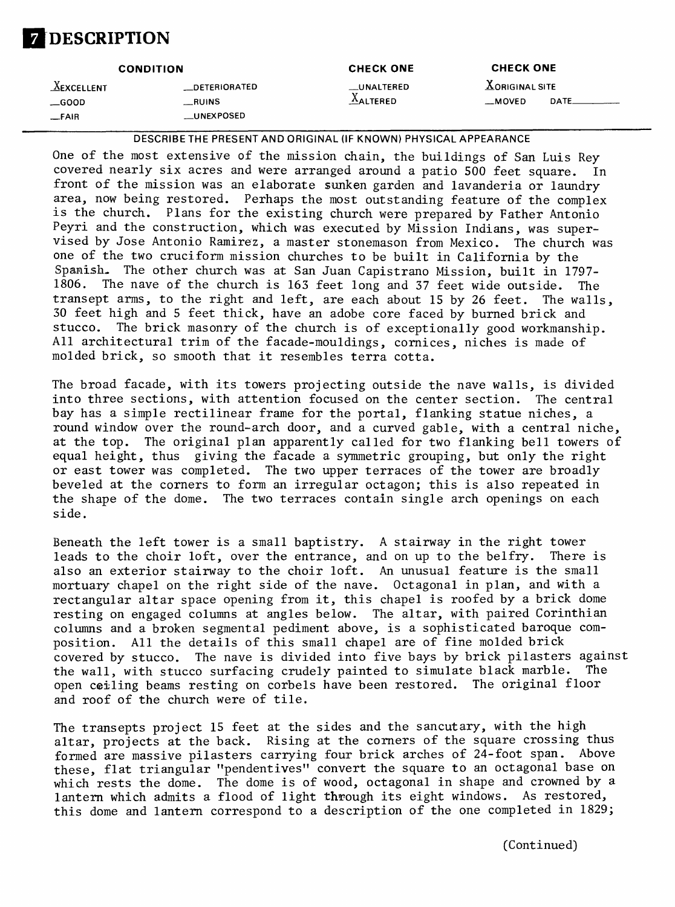## **DESCRIPTION**

| <b>CONDITION</b>                              |                                                     | <b>CHECK ONE</b>                     | <b>CHECK ONE</b>                      |  |
|-----------------------------------------------|-----------------------------------------------------|--------------------------------------|---------------------------------------|--|
| <b>AEXCELLENT</b><br>$\equiv$ GOOD<br>$-FAIR$ | <b>DETERIORATED</b><br>__RUINS<br><b>LUNEXPOSED</b> | <b>LUNALTERED</b><br><b>AALTERED</b> | $X$ ORIGINAL SITE<br>DATE.<br>__MOVED |  |
|                                               |                                                     |                                      |                                       |  |

**DESCRIBETHE PRESENT AND ORIGINAL (IF KNOWN) PHYSICAL APPEARANCE**

One of the most extensive of the mission chain, the buildings of San Luis Rey covered nearly six acres and were arranged around a patio 500 feet square. In front of the mission was an elaborate sunken garden and lavanderia or laundry area, now being restored. Perhaps the most outstanding feature of the complex is the church. Plans for the existing church were prepared by Father Antonio Peyri and the construction, which was executed by Mission Indians, was supervised by Jose Antonio Ramirez, a master stonemason from Mexico. The church was one of the two cruciform mission churches to be built in California by the Spanish,. The other church was at San Juan Capistrano Mission, built in 1797- 1806. The nave of the church is 163 feet long and 37 feet wide outside. The transept arms, to the right and left, are each about 15 by 26 feet. The walls, 30 feet high and 5 feet thick, have an adobe core faced by burned brick and stucco. The brick masonry of the church is of exceptionally good workmanship. All architectural trim of the facade-mouldings, cornices, niches is made of molded brick, so smooth that it resembles terra cotta.

The broad facade, with its towers projecting outside the nave walls, is divided into three sections, with attention focused on the center section. The central bay has a simple rectilinear frame for the portal, flanking statue niches, a round window over the round-arch door, and a curved gable, with a central niche, at the top. The original plan apparently called for two flanking bell towers of equal height, thus giving the facade a symmetric grouping, but only the right or east tower was completed. The two upper terraces of the tower are broadly beveled at the corners to form an irregular octagon; this is also repeated in the shape of the dome. The two terraces contain single arch openings on each side.

Beneath the left tower is a small baptistry. A stairway in the right tower leads to the choir loft, over the entrance, and on up to the belfry. There is also an exterior stairway to the choir loft. An unusual feature is the small mortuary chapel on the right side of the nave. Octagonal in plan, and with a rectangular altar space opening from it, this chapel is roofed by a brick dome resting on engaged columns at angles below. The altar, with paired Corinthian columns and a broken segmental pediment above, is a sophisticated baroque composition. All the details of this small chapel are of fine molded brick covered by stucco. The nave is divided into five bays by brick pilasters against the wall, with stucco surfacing crudely painted to simulate black marble. The open ceiling beams resting on corbels have been restored. The original floor and roof of the church were of tile.

The transepts project 15 feet at the sides and the sancutary, with the high altar, projects at the back. Rising at the corners of the square crossing thus formed are massive pilasters carrying four brick arches of 24-foot span. Above these, flat triangular "pendentives" convert the square to an octagonal base on which rests the dome. The dome is of wood, octagonal in shape and crowned by a lantern which admits a flood of light through its eight windows. As restored, this dome and lantern correspond to a description of the one completed in 1829;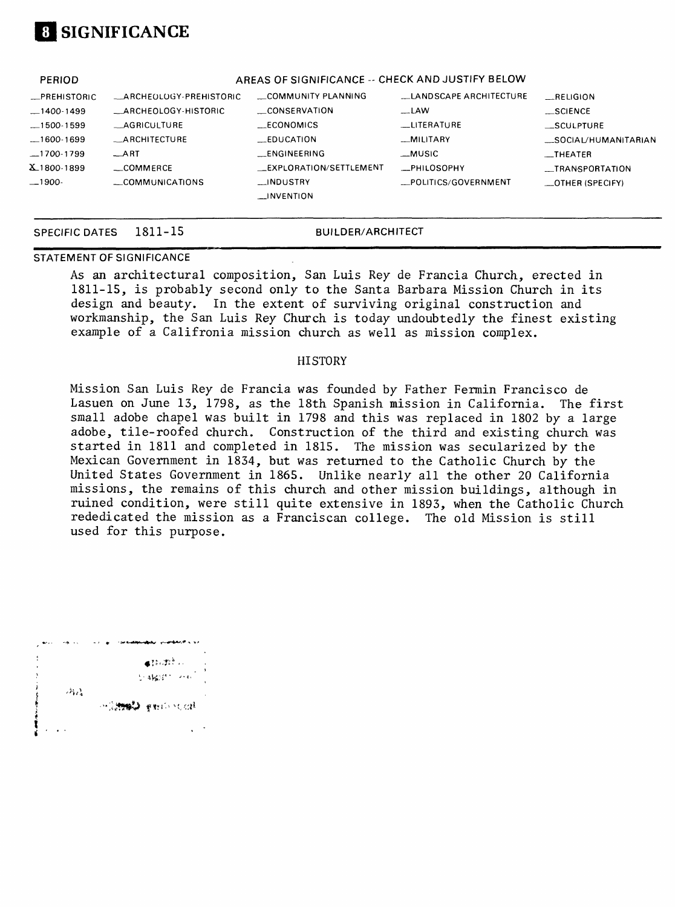### **I SIGNIFICANCE**

| <b>PERIOD</b>       | AREAS OF SIGNIFICANCE -- CHECK AND JUSTIFY BELOW |                         |                        |                          |
|---------------------|--------------------------------------------------|-------------------------|------------------------|--------------------------|
| <b>_PREHISTORIC</b> | <b>ARCHEOLOGY-PREHISTORIC</b>                    | COMMUNITY PLANNING      | LANDSCAPE ARCHITECTURE | RELIGION                 |
| $-1400-1499$        | <b>ARCHEOLOGY-HISTORIC</b>                       | CONSERVATION            | $\equiv$ LAW           | $\_SCIENCE$              |
| $-1500-1599$        | _AGRICULTURE                                     | __ECONOMICS             | <b>LUTERATURE</b>      | __SCULPTURE              |
| $-1600-1699$        | <b>__ARCHITECTURE</b>                            | $E$ DUCATION            | _MILITARY              | SOCIAL/HUMANITARIAN      |
| $-1700-1799$        | ART                                              | <b>ENGINEERING</b>      | $-MUSIC$               | $_{-}$ THEATER           |
| X1800-1899          | COMMERCE                                         | _EXPLORATION/SETTLEMENT | _PHILOSOPHY            | __TRANSPORTATION         |
| $-1900-$            | COMMUNICATIONS                                   | $\Box$ INDUSTRY         | POLITICS/GOVERNMENT    | $\equiv$ OTHER (SPECIFY) |
|                     |                                                  | <b>INVENTION</b>        |                        |                          |
|                     |                                                  |                         |                        |                          |

# **STATEMENT OF SIGNIFICANCE**

SPECIFIC DATES 1811-15 **BUILDER/ARCHITECT** 

As an architectural composition, San Luis Rey de Francia Church., erected in 1811-15, is probably second only to the Santa Barbara Mission Church in its design and beauty. In the extent of surviving original construction and workmanship, the San Luis Rey Church is today undoubtedly the finest existing example of a Califronia mission church as well as mission complex.

#### **HISTORY**

Mission San Luis Rey de Francia was founded by Father Fermin Francisco de Lasuen on June 13, 1798, as the 18th Spanish mission in California. The first small adobe chapel was built in 1798 and this was replaced in 1802 by a large adobe, tile-roofed church. Construction of the third and existing church was started in 1811 and completed in 1815. The mission was secularized by the Mexican Government in 1834, but was returned to the Catholic Church by the United States Government in 1865. Unlike nearly all the other 20 California missions, the remains of this church and other mission buildings, although in ruined condition, were still quite extensive in 1893, when the Catholic Church rededicated the mission as a Franciscan college. The old Mission is still used for this purpose.

|  |    | نه الاستفاضيات                                                                          |
|--|----|-----------------------------------------------------------------------------------------|
|  |    |                                                                                         |
|  |    | $\oplus \left\{ \left\{ \xi \right\} ,\left\{ \xi \right\} \right\} \rightarrow \infty$ |
|  |    |                                                                                         |
|  |    | 计编码 网络                                                                                  |
|  |    |                                                                                         |
|  | 动过 |                                                                                         |
|  |    |                                                                                         |
|  |    | 网络蝴蝶 网络代码                                                                               |
|  |    |                                                                                         |
|  |    |                                                                                         |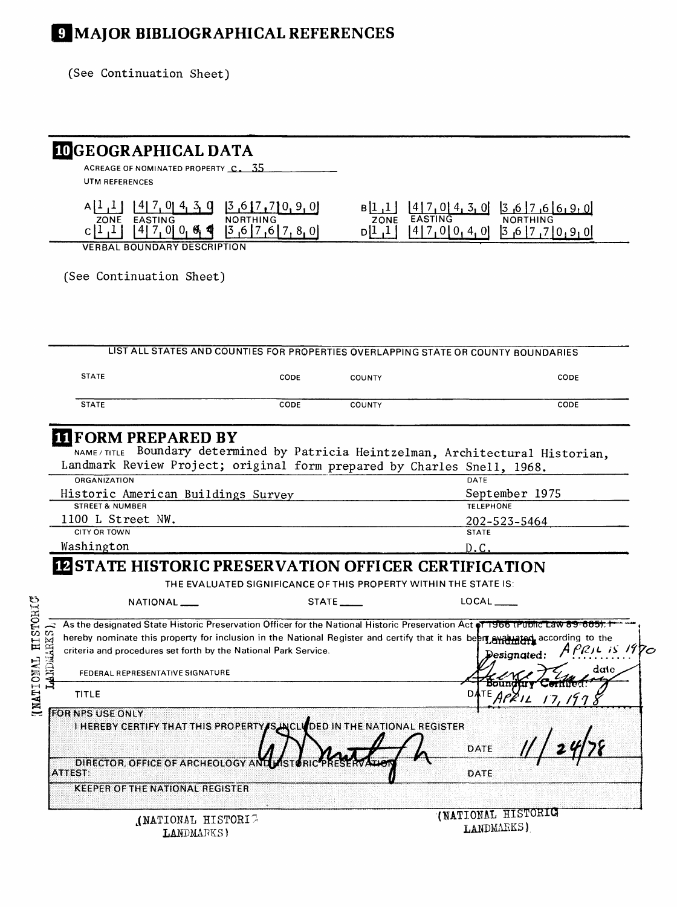# **JJMAJOR BIBLIOGRAPHICAL REFERENCES**

(See Continuation Sheet)

| UTM REFERENCES                                                                                                                                                                                                                                                                                                                                                                                                                         | ACREAGE OF NOMINATED PROPERTY C. 35                                                   |                      |                                                                                                                      |                       |
|----------------------------------------------------------------------------------------------------------------------------------------------------------------------------------------------------------------------------------------------------------------------------------------------------------------------------------------------------------------------------------------------------------------------------------------|---------------------------------------------------------------------------------------|----------------------|----------------------------------------------------------------------------------------------------------------------|-----------------------|
|                                                                                                                                                                                                                                                                                                                                                                                                                                        |                                                                                       |                      |                                                                                                                      |                       |
| $A$   $I$ <sub> </sub> $I$<br>ZONE EASTING<br>$[4]$ 7, 0 0 $\leftarrow$ 4 4<br> 1,1                                                                                                                                                                                                                                                                                                                                                    | $\frac{14}{7}$ , 0 4, 3, 0 $\frac{3}{7}$ $\frac{6}{7}$ , 7 0, 9, 0<br>[3,6]7,6]7,8,0] |                      | $B[1,1]$ $[4]7,0[4,3,0]$ $[3,6]7,6[6,9,0]$<br>ZONE EASTING<br>NORTHING<br>$D[1,1]$ $[4]7,0[0,4,0]$ $[3,6]7,7[0,9,0]$ |                       |
| <b>VERBAL BOUNDARY DESCRIPTION</b>                                                                                                                                                                                                                                                                                                                                                                                                     |                                                                                       |                      |                                                                                                                      |                       |
| (See Continuation Sheet)                                                                                                                                                                                                                                                                                                                                                                                                               |                                                                                       |                      |                                                                                                                      |                       |
| LIST ALL STATES AND COUNTIES FOR PROPERTIES OVERLAPPING STATE OR COUNTY BOUNDARIES                                                                                                                                                                                                                                                                                                                                                     |                                                                                       |                      |                                                                                                                      |                       |
| <b>STATE</b>                                                                                                                                                                                                                                                                                                                                                                                                                           | CODE                                                                                  | <b>COUNTY</b>        |                                                                                                                      | CODE                  |
|                                                                                                                                                                                                                                                                                                                                                                                                                                        |                                                                                       |                      |                                                                                                                      |                       |
| <b>STATE</b>                                                                                                                                                                                                                                                                                                                                                                                                                           | CODE                                                                                  | COUNTY               |                                                                                                                      | CODE                  |
| CITY OR TOWN<br>Washington                                                                                                                                                                                                                                                                                                                                                                                                             |                                                                                       |                      | <b>STATE</b><br>D.C                                                                                                  |                       |
|                                                                                                                                                                                                                                                                                                                                                                                                                                        |                                                                                       |                      |                                                                                                                      |                       |
|                                                                                                                                                                                                                                                                                                                                                                                                                                        | THE EVALUATED SIGNIFICANCE OF THIS PROPERTY WITHIN THE STATE IS:                      |                      |                                                                                                                      |                       |
| NATIONAL <sub>_</sub>                                                                                                                                                                                                                                                                                                                                                                                                                  |                                                                                       | STATE <sub>___</sub> | $LOGAL$ <sub>_____</sub>                                                                                             |                       |
| FEDERAL REPRESENTATIVE SIGNATURE                                                                                                                                                                                                                                                                                                                                                                                                       |                                                                                       |                      | Designated:                                                                                                          | APRIL IS 1970<br>date |
| <b>TITLE</b>                                                                                                                                                                                                                                                                                                                                                                                                                           |                                                                                       |                      | <b>DATE</b>                                                                                                          |                       |
| I HEREBY CERTIFY THAT THIS PROPERTY SUICLE DED IN THE NATIONAL REGISTER<br>DIRECTOR, OFFICE OF ARCHEOLOGY AND                                                                                                                                                                                                                                                                                                                          |                                                                                       |                      | <b>DATE</b>                                                                                                          |                       |
| <b>KEEPER OF THE NATIONAL REGISTER</b>                                                                                                                                                                                                                                                                                                                                                                                                 |                                                                                       |                      | <b>DATE</b>                                                                                                          |                       |
| <b>EXECUTE HISTORIC PRESERVATION OFFICER CERTIFICATION</b><br>As the designated State Historic Preservation Officer for the National Historic Preservation Act of 1966 (Public Law 89-665): 1<br>hereby nominate this property for inclusion in the National Register and certify that it has been evaluated according to the<br>criteria and procedures set forth by the National Park Service.<br><b>FOR NPS USE ONLY</b><br>ATTEST: |                                                                                       |                      | (NATIONAL HISTORIC                                                                                                   |                       |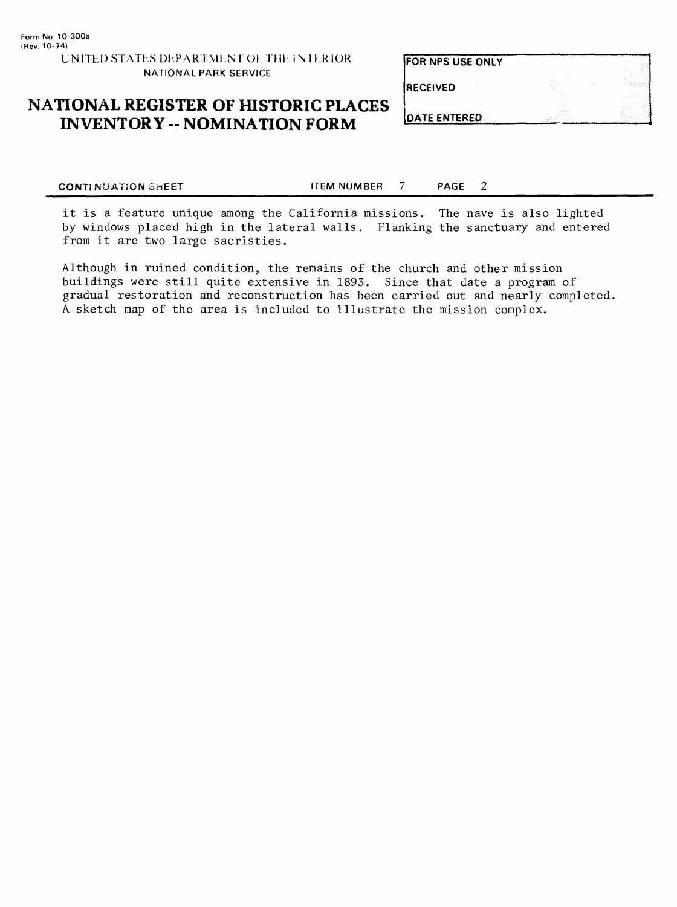**FOR NPS USE ONLY RECEIVED** 

### **NATIONAL REGISTER OF HISTORIC PLACES INVENTORY - NOMINATION FORM**

**DATE ENTERED** 

2

**CONTINUATION SHEET CONTINUATION SHEET** 

it is a feature unique among the California missions. The nave is also lighted by windows placed high in the lateral walls. Flanking the sanctuary and entered from it are two large sacristies.

Although in ruined condition, the remains of the church and other mission buildings were still quite extensive in 1893. Since that date a program of gradual restoration and reconstruction has been carried out and nearly completed. A sketch map of the area is included to illustrate the mission complex.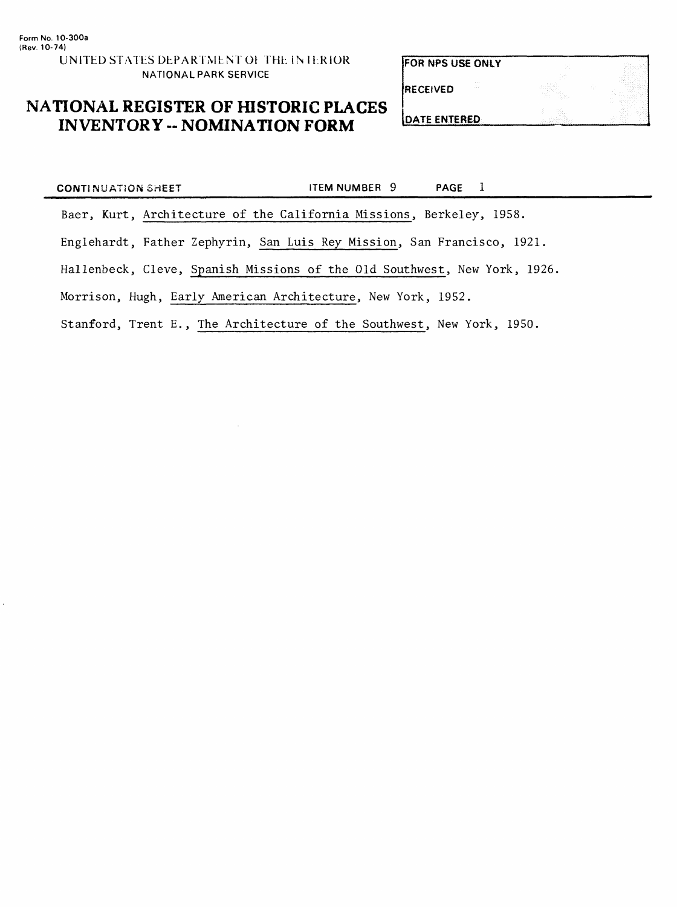FOR NPS USE ONLY

RECEIVED

### **NATIONAL REGISTER OF HISTORIC PLACES INVENTORY - NOMINATION FORM**

DATE ENTERED

| <b>CONTINUATION SHEET</b>                                    |                                                                           | ITEM NUMBER 9 | PAGE 1 |  |
|--------------------------------------------------------------|---------------------------------------------------------------------------|---------------|--------|--|
|                                                              | Baer, Kurt, Architecture of the California Missions, Berkeley, 1958.      |               |        |  |
|                                                              | Englehardt, Father Zephyrin, San Luis Rey Mission, San Francisco, 1921.   |               |        |  |
|                                                              | Hallenbeck, Cleve, Spanish Missions of the Old Southwest, New York, 1926. |               |        |  |
| Morrison, Hugh, Early American Architecture, New York, 1952. |                                                                           |               |        |  |
|                                                              | Stanford, Trent E., The Architecture of the Southwest, New York, 1950.    |               |        |  |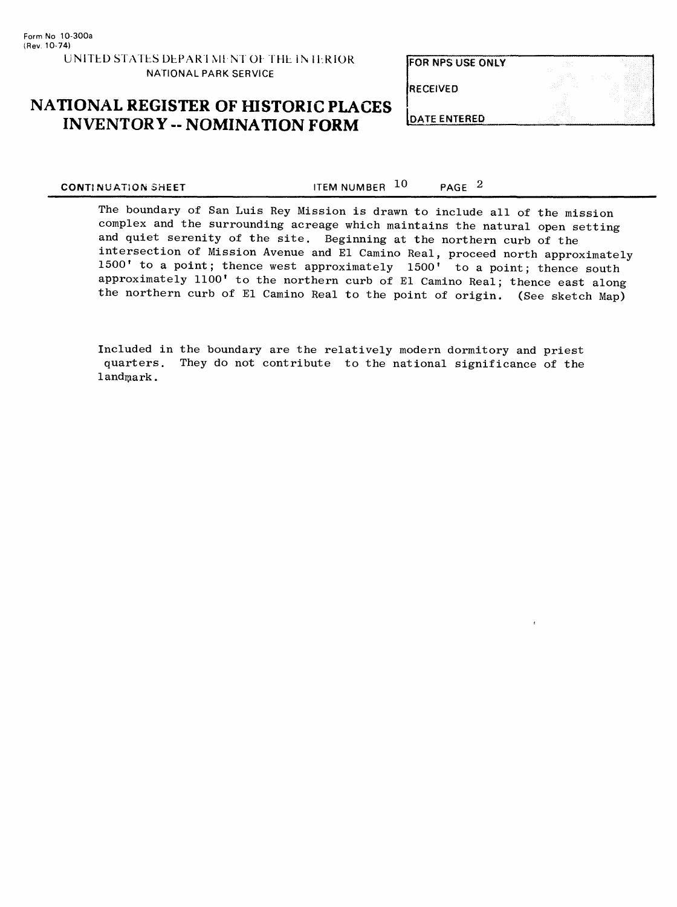FOR NFS USE ONLY

RECEIVED

### **NATIONAL REGISTER OF HISTORIC PLACES INVENTORY -- NOMINATION FORM**

DATE ENTERED

**CONTINUATION SHEET ITEM NUMBER**  $10$  **PAGE**  $2$ 

The boundary of San Luis Key Mission is drawn to include all of the mission complex and the surrounding acreage which maintains the natural open setting and quiet serenity of the site. Beginning at the northern curb of the intersection of Mission Avenue and El Camino Real, proceed north approximately 1500' to a point; thence west approximately 1500' to a point; thence south approximately 1100' to the northern curb of El Camino Real; thence east along the northern curb of El Camino Real to the point of origin. (See sketch Map)

Included in the boundary are the relatively modern dormitory and priest quarters. They do not contribute to the national significance of the landmark.